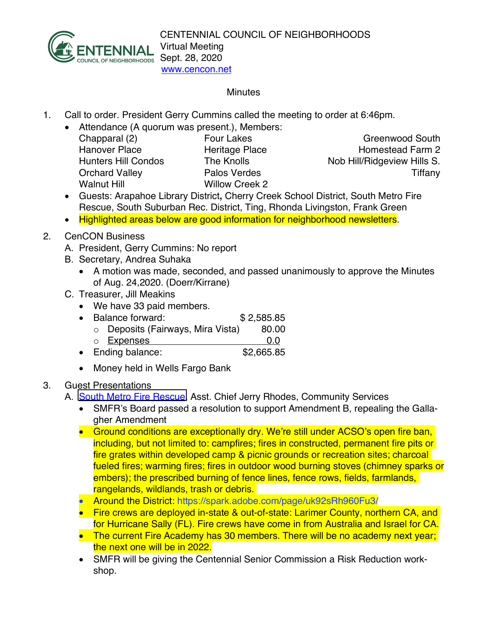

## **Minutes**

- 1. Call to order. President Gerry Cummins called the meeting to order at 6:46pm.
	- Attendance (A quorum was present.), Members: Chapparal (2) Four Lakes Greenwood South Hanover Place **Heritage Place** Homestead Farm 2 Hunters Hill Condos The Knolls Nob Hill/Ridgeview Hills S. Orchard Valley **Palos Verdes** Tiffany Walnut Hill Willow Creek 2

- Guests: Arapahoe Library District**,** Cherry Creek School District, South Metro Fire Rescue, South Suburban Rec. District, Ting, Rhonda Livingston, Frank Green
- Highlighted areas below are good information for neighborhood newsletters.
- 2. CenCON Business
	- A. President, Gerry Cummins: No report
	- B. Secretary, Andrea Suhaka
		- A motion was made, seconded, and passed unanimously to approve the Minutes of Aug. 24,2020. (Doerr/Kirrane)
	- C. Treasurer, Jill Meakins
		- We have 33 paid members.
		- Balance forward: \$ 2,585.85
			- $\circ$  Deposits (Fairways, Mira Vista) 80.00
		- o Expenses 0.0 • Ending balance: \$2,665.85
		- Money held in Wells Fargo Bank
- 3. Guest Presentations
	- A. **[South Metro Fire Rescue,](http://www.southmetro.org/) Asst. Chief Jerry Rhodes, Community Services** 
		- SMFR's Board passed a resolution to support Amendment B, repealing the Gallagher Amendment
		- Ground conditions are exceptionally dry. We're still under ACSO's open fire ban, including, but not limited to: campfires; fires in constructed, permanent fire pits or fire grates within developed camp & picnic grounds or recreation sites; charcoal fueled fires; warming fires; fires in outdoor wood burning stoves (chimney sparks or embers); the prescribed burning of fence lines, fence rows, fields, farmlands, rangelands, wildlands, trash or debris.
		- Around the District: https://spark.adobe.com/page/uk92sRh960Fu3/
		- Fire crews are deployed in-state & out-of-state: Larimer County, northern CA, and for Hurricane Sally (FL). Fire crews have come in from Australia and Israel for CA.
		- The current Fire Academy has 30 members. There will be no academy next year; the next one will be in 2022.
		- SMFR will be giving the Centennial Senior Commission a Risk Reduction workshop.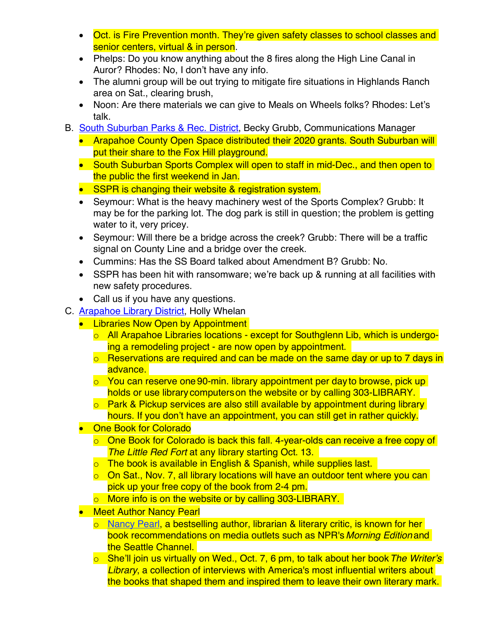- Oct. is Fire Prevention month. They're given safety classes to school classes and senior centers, virtual & in person.
- Phelps: Do you know anything about the 8 fires along the High Line Canal in Auror? Rhodes: No, I don't have any info.
- The alumni group will be out trying to mitigate fire situations in Highlands Ranch area on Sat., clearing brush,
- Noon: Are there materials we can give to Meals on Wheels folks? Rhodes: Let's talk.
- B. [South Suburban Parks & Rec. District,](https://www.ssprd.org/) Becky Grubb, Communications Manager
	- Arapahoe County Open Space distributed their 2020 grants. South Suburban will put their share to the Fox Hill playground.
	- South Suburban Sports Complex will open to staff in mid-Dec., and then open to the public the first weekend in Jan.
	- SSPR is changing their website & registration system.
	- Seymour: What is the heavy machinery west of the Sports Complex? Grubb: It may be for the parking lot. The dog park is still in question; the problem is getting water to it, very pricey.
	- Seymour: Will there be a bridge across the creek? Grubb: There will be a traffic signal on County Line and a bridge over the creek.
	- Cummins: Has the SS Board talked about Amendment B? Grubb: No.
	- SSPR has been hit with ransomware; we're back up & running at all facilities with new safety procedures.
	- Call us if you have any questions.
- C. [Arapahoe Library District,](http://www.arapahoelibraries.org/) Holly Whelan
	- Libraries Now Open by Appointment
		- o All Arapahoe Libraries locations except for Southglenn Lib, which is undergoing a remodeling project - are now open by appointment.
		- $\circ$  Reservations are required and can be made on the same day or up to 7 days in advance.
		- $\circ$  You can reserve one 90-min. library appointment per day to browse, pick up holds or use library computerson the website or by calling 303-LIBRARY.
		- o Park & Pickup services are also still available by appointment during library hours. If you don't have an appointment, you can still get in rather quickly.
	- One Book for Colorado
		- o One Book for Colorado is back this fall. 4-year-olds can receive a free copy of *The Little Red Fort* at any library starting Oct. 13.
		- $\circ$  The book is available in English & Spanish, while supplies last.
		- o On Sat., Nov. 7, all library locations will have an outdoor tent where you can pick up your free copy of the book from 2-4 pm.
		- o More info is on the website or by calling 303-LIBRARY.
	- **Meet Author Nancy Pearl** 
		- o [Nancy Pearl,](https://www.nancypearl.com/) a bestselling author, librarian & literary critic, is known for her book recommendations on media outlets such as NPR's *Morning Edition* and the Seattle Channel.
		- o She'll join us virtually on Wed., Oct. 7, 6 pm, to talk about her book*The Writer's*  **Library**, a collection of interviews with America's most influential writers about the books that shaped them and inspired them to leave their own literary mark.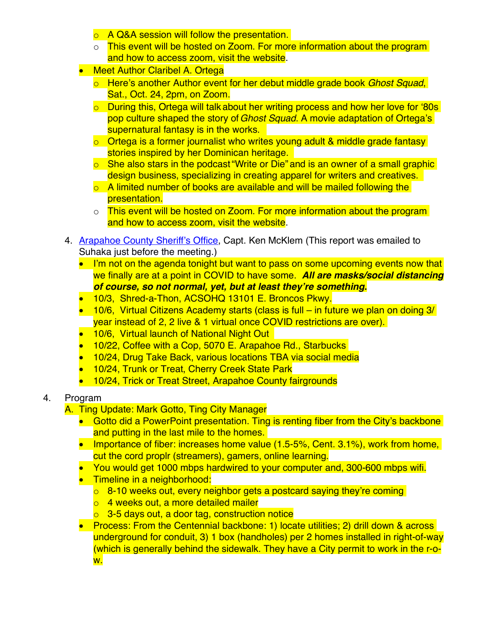- o A Q&A session will follow the presentation.
- o This event will be hosted on Zoom. For more information about the program and how to access zoom, visit the website.
- **Meet Author Claribel A. Ortega** 
	- o Here's another Author event for her debut middle grade book *Ghost Squad*, Sat., Oct. 24, 2pm, on Zoom.
	- o During this, Ortega will talk about her writing process and how her love for '80s' pop culture shaped the story of*Ghost Squad*. A movie adaptation of Ortega's supernatural fantasy is in the works.
	- o Ortega is a former journalist who writes young adult & middle grade fantasy stories inspired by her Dominican heritage.
	- o She also stars in the podcast "Write or Die" and is an owner of a small graphic design business, specializing in creating apparel for writers and creatives.
	- o A limited number of books are available and will be mailed following the presentation.
	- o This event will be hosted on Zoom. For more information about the program and how to access zoom, visit the website.
- 4. [Arapahoe County Sheriff's Office,](http://www.arapahoesheriff.org/) Capt. Ken McKlem (This report was emailed to Suhaka just before the meeting.)
	- I'm not on the agenda tonight but want to pass on some upcoming events now that we finally are at a point in COVID to have some. *All are masks/social distancing of course, so not normal, yet, but at least they're something***.**
	- 10/3, Shred-a-Thon, ACSOHQ 13101 E. Broncos Pkwy.
	- 10/6, Virtual Citizens Academy starts (class is full in future we plan on doing 3/ year instead of 2, 2 live & 1 virtual once COVID restrictions are over).
	- 10/6, Virtual launch of National Night Out
	- 10/22, Coffee with a Cop, 5070 E. Arapahoe Rd., Starbucks
	- 10/24, Drug Take Back, various locations TBA via social media
	- 10/24, Trunk or Treat, Cherry Creek State Park
	- 10/24, Trick or Treat Street, Arapahoe County fairgrounds

## 4. Program

- A. Ting Update: Mark Gotto, Ting City Manager
	- Gotto did a PowerPoint presentation. Ting is renting fiber from the City's backbone and putting in the last mile to the homes.
	- Importance of fiber: increases home value (1.5-5%, Cent. 3.1%), work from home, cut the cord proplr (streamers), gamers, online learning.
	- You would get 1000 mbps hardwired to your computer and, 300-600 mbps wifi.
	- **•** Timeline in a neighborhood:
		- $\overline{0}$  8-10 weeks out, every neighbor gets a postcard saying they're coming
		- o 4 weeks out, a more detailed mailer
		- o 3-5 days out, a door tag, construction notice
	- Process: From the Centennial backbone: 1) locate utilities; 2) drill down & across underground for conduit, 3) 1 box (handholes) per 2 homes installed in right-of-way (which is generally behind the sidewalk. They have a City permit to work in the r-ow.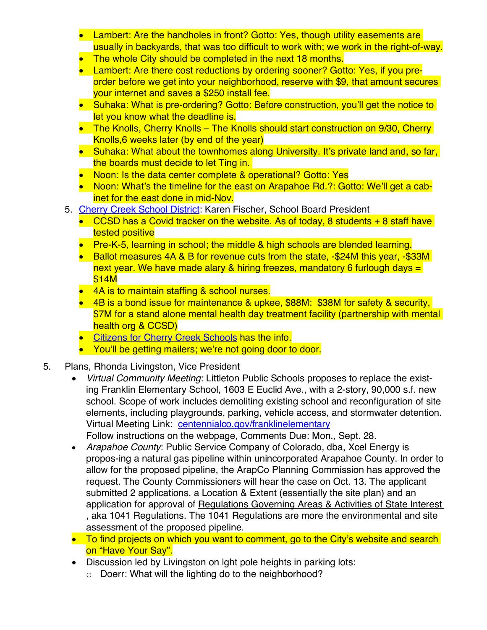- Lambert: Are the handholes in front? Gotto: Yes, though utility easements are usually in backyards, that was too difficult to work with; we work in the right-of-way.
- The whole City should be completed in the next 18 months.
- Lambert: Are there cost reductions by ordering sooner? Gotto: Yes, if you preorder before we get into your neighborhood, reserve with \$9, that amount secures your internet and saves a \$250 install fee.
- Suhaka: What is pre-ordering? Gotto: Before construction, you'll get the notice to let you know what the deadline is.
- The Knolls, Cherry Knolls The Knolls should start construction on 9/30, Cherry Knolls,6 weeks later (by end of the year)
- Suhaka: What about the townhomes along University. It's private land and, so far, the boards must decide to let Ting in.
- Noon: Is the data center complete & operational? Gotto: Yes
- Noon: What's the timeline for the east on Arapahoe Rd.?: Gotto: We'll get a cabinet for the east done in mid-Nov.
- 5. [Cherry Creek School District](https://www.cherrycreekschools.org/): Karen Fischer, School Board President
	- CCSD has a Covid tracker on the website. As of today, 8 students  $+8$  staff have tested positive
	- Pre-K-5, learning in school; the middle & high schools are blended learning.
	- Ballot measures 4A & B for revenue cuts from the state, -\$24M this year, -\$33M next year. We have made alary & hiring freezes, mandatory 6 furlough days  $=$ \$14M
	- 4A is to maintain staffing & school nurses.
	- 4B is a bond issue for maintenance & upkee, \$88M: \$38M for safety & security, \$7M for a stand alone mental health day treatment facility (partnership with mental health org & CCSD)
	- **Citizens for Cherry Creek Schools has the info.**
	- You'll be getting mailers; we're not going door to door.
- 5. Plans, Rhonda Livingston, Vice President
	- *Virtual Community Meeting*: Littleton Public Schools proposes to replace the existing Franklin Elementary School, 1603 E Euclid Ave., with a 2-story, 90,000 s.f. new school. Scope of work includes demoliting existing school and reconfiguration of site elements, including playgrounds, parking, vehicle access, and stormwater detention. Virtual Meeting Link: centennialco.gov/franklinelementary Follow instructions on the webpage, Comments Due: Mon., Sept. 28.
	- *Arapahoe County*: Public Service Company of Colorado, dba, Xcel Energy is propos-ing a natural gas pipeline within unincorporated Arapahoe County. In order to allow for the proposed pipeline, the ArapCo Planning Commission has approved the request. The County Commissioners will hear the case on Oct. 13. The applicant submitted 2 applications, a Location & Extent (essentially the site plan) and an application for approval of Regulations Governing Areas & Activities of State Interest , aka 1041 Regulations. The 1041 Regulations are more the environmental and site assessment of the proposed pipeline.
	- To find projects on which you want to comment, go to the City's website and search on "Have Your Say".
	- Discussion led by Livingston on lght pole heights in parking lots:
		- o Doerr: What will the lighting do to the neighborhood?